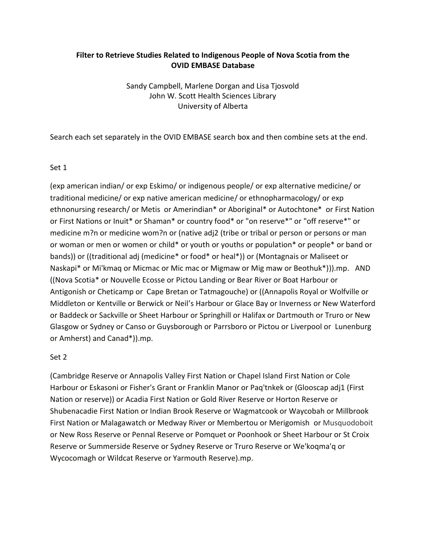# **Filter to Retrieve Studies Related to Indigenous People of Nova Scotia from the OVID EMBASE Database**

Sandy Campbell, Marlene Dorgan and Lisa Tjosvold John W. Scott Health Sciences Library University of Alberta

Search each set separately in the OVID EMBASE search box and then combine sets at the end.

# Set 1

(exp american indian/ or exp Eskimo/ or indigenous people/ or exp alternative medicine/ or traditional medicine/ or exp native american medicine/ or ethnopharmacology/ or exp ethnonursing research/ or Metis or Amerindian\* or Aboriginal\* or Autochtone\* or First Nation or First Nations or Inuit\* or Shaman\* or country food\* or "on reserve\*" or "off reserve\*" or medicine m?n or medicine wom?n or (native adj2 (tribe or tribal or person or persons or man or woman or men or women or child\* or youth or youths or population\* or people\* or band or bands)) or ((traditional adj (medicine\* or food\* or heal\*)) or (Montagnais or Maliseet or Naskapi\* or Mi'kmaq or Micmac or Mic mac or Migmaw or Mig maw or Beothuk\*))).mp. AND ((Nova Scotia\* or Nouvelle Ecosse or Pictou Landing or Bear River or Boat Harbour or Antigonish or Cheticamp or Cape Bretan or Tatmagouche) or ((Annapolis Royal or Wolfville or Middleton or Kentville or Berwick or Neil's Harbour or Glace Bay or Inverness or New Waterford or Baddeck or Sackville or Sheet Harbour or Springhill or Halifax or Dartmouth or Truro or New Glasgow or Sydney or Canso or Guysborough or Parrsboro or Pictou or Liverpool or Lunenburg or Amherst) and Canad\*)).mp.

# Set 2

(Cambridge Reserve or Annapolis Valley First Nation or Chapel Island First Nation or Cole Harbour or Eskasoni or Fisher's Grant or Franklin Manor or Paq'tnkek or (Glooscap adj1 (First Nation or reserve)) or Acadia First Nation or Gold River Reserve or Horton Reserve or Shubenacadie First Nation or Indian Brook Reserve or Wagmatcook or Waycobah or Millbrook First Nation or Malagawatch or Medway River or Membertou or Merigomish or Musquodoboit or New Ross Reserve or Pennal Reserve or Pomquet or Poonhook or Sheet Harbour or St Croix Reserve or Summerside Reserve or Sydney Reserve or Truro Reserve or We'koqma'q or Wycocomagh or Wildcat Reserve or Yarmouth Reserve).mp.